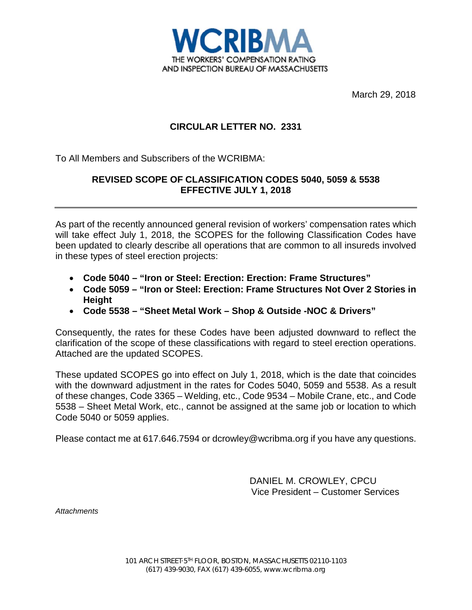

March 29, 2018

## **CIRCULAR LETTER NO. 2331**

To All Members and Subscribers of the WCRIBMA:

## **REVISED SCOPE OF CLASSIFICATION CODES 5040, 5059 & 5538 EFFECTIVE JULY 1, 2018**

As part of the recently announced general revision of workers' compensation rates which will take effect July 1, 2018, the SCOPES for the following Classification Codes have been updated to clearly describe all operations that are common to all insureds involved in these types of steel erection projects:

- **Code 5040 "Iron or Steel: Erection: Erection: Frame Structures"**
- **Code 5059 "Iron or Steel: Erection: Frame Structures Not Over 2 Stories in Height**
- **Code 5538 "Sheet Metal Work Shop & Outside -NOC & Drivers"**

Consequently, the rates for these Codes have been adjusted downward to reflect the clarification of the scope of these classifications with regard to steel erection operations. Attached are the updated SCOPES.

These updated SCOPES go into effect on July 1, 2018, which is the date that coincides with the downward adjustment in the rates for Codes 5040, 5059 and 5538. As a result of these changes, Code 3365 – Welding, etc., Code 9534 – Mobile Crane, etc., and Code 5538 – Sheet Metal Work, etc., cannot be assigned at the same job or location to which Code 5040 or 5059 applies.

Please contact me at 617.646.7594 or dcrowley@wcribma.org if you have any questions.

DANIEL M. CROWLEY, CPCU Vice President – Customer Services

*Attachments*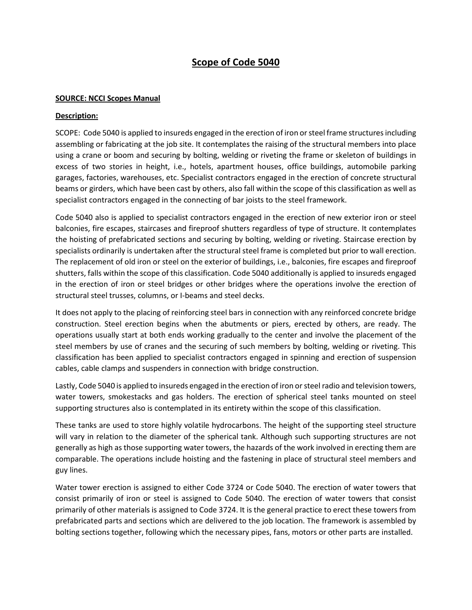# **Scope of Code 5040**

### **SOURCE: NCCI Scopes Manual**

### **Description:**

SCOPE: Code 5040 is applied to insureds engaged in the erection of iron or steel frame structures including assembling or fabricating at the job site. It contemplates the raising of the structural members into place using a crane or boom and securing by bolting, welding or riveting the frame or skeleton of buildings in excess of two stories in height, i.e., hotels, apartment houses, office buildings, automobile parking garages, factories, warehouses, etc. Specialist contractors engaged in the erection of concrete structural beams or girders, which have been cast by others, also fall within the scope of this classification as well as specialist contractors engaged in the connecting of bar joists to the steel framework.

Code 5040 also is applied to specialist contractors engaged in the erection of new exterior iron or steel balconies, fire escapes, staircases and fireproof shutters regardless of type of structure. It contemplates the hoisting of prefabricated sections and securing by bolting, welding or riveting. Staircase erection by specialists ordinarily is undertaken after the structural steel frame is completed but prior to wall erection. The replacement of old iron or steel on the exterior of buildings, i.e., balconies, fire escapes and fireproof shutters, falls within the scope of this classification. Code 5040 additionally is applied to insureds engaged in the erection of iron or steel bridges or other bridges where the operations involve the erection of structural steel trusses, columns, or I-beams and steel decks.

It does not apply to the placing of reinforcing steel bars in connection with any reinforced concrete bridge construction. Steel erection begins when the abutments or piers, erected by others, are ready. The operations usually start at both ends working gradually to the center and involve the placement of the steel members by use of cranes and the securing of such members by bolting, welding or riveting. This classification has been applied to specialist contractors engaged in spinning and erection of suspension cables, cable clamps and suspenders in connection with bridge construction.

Lastly, Code 5040 is applied to insureds engaged in the erection of iron or steel radio and television towers, water towers, smokestacks and gas holders. The erection of spherical steel tanks mounted on steel supporting structures also is contemplated in its entirety within the scope of this classification.

These tanks are used to store highly volatile hydrocarbons. The height of the supporting steel structure will vary in relation to the diameter of the spherical tank. Although such supporting structures are not generally as high as those supporting water towers, the hazards of the work involved in erecting them are comparable. The operations include hoisting and the fastening in place of structural steel members and guy lines.

Water tower erection is assigned to either Code 3724 or Code 5040. The erection of water towers that consist primarily of iron or steel is assigned to Code 5040. The erection of water towers that consist primarily of other materials is assigned to Code 3724. It is the general practice to erect these towers from prefabricated parts and sections which are delivered to the job location. The framework is assembled by bolting sections together, following which the necessary pipes, fans, motors or other parts are installed.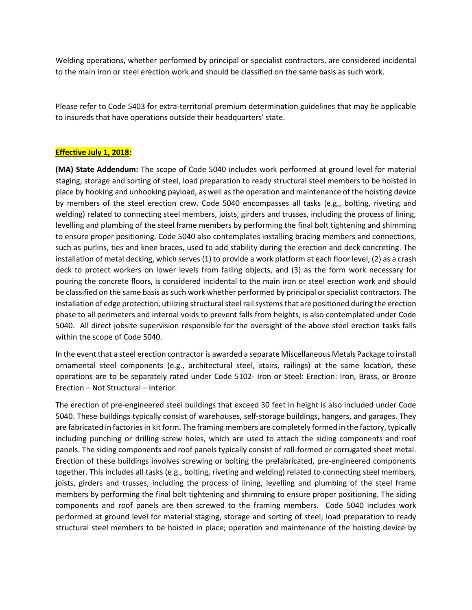Welding operations, whether performed by principal or specialist contractors, are considered incidental to the main iron or steel erection work and should be classified on the same basis as such work.

Please refer to Code 5403 for extra-territorial premium determination guidelines that may be applicable to insureds that have operations outside their headquarters' state.

### **Effective July 1, 2018:**

**(MA) State Addendum:** The scope of Code 5040 includes work performed at ground level for material staging, storage and sorting of steel, load preparation to ready structural steel members to be hoisted in place by hooking and unhooking payload, as well as the operation and maintenance of the hoisting device by members of the steel erection crew. Code 5040 encompasses all tasks (e.g., bolting, riveting and welding) related to connecting steel members, joists, girders and trusses, including the process of lining, levelling and plumbing of the steel frame members by performing the final bolt tightening and shimming to ensure proper positioning. Code 5040 also contemplates installing bracing members and connections, such as purlins, ties and knee braces, used to add stability during the erection and deck concreting. The installation of metal decking, which serves (1) to provide a work platform at each floor level, (2) as a crash deck to protect workers on lower levels from falling objects, and (3) as the form work necessary for pouring the concrete floors, is considered incidental to the main iron or steel erection work and should be classified on the same basis as such work whether performed by principal or specialist contractors. The installation of edge protection, utilizing structural steel rail systemsthat are positioned during the erection phase to all perimeters and internal voids to prevent falls from heights, is also contemplated under Code 5040. All direct jobsite supervision responsible for the oversight of the above steel erection tasks falls within the scope of Code 5040.

In the event that a steel erection contractor is awarded a separate Miscellaneous Metals Package to install ornamental steel components (e.g., architectural steel, stairs, railings) at the same location, these operations are to be separately rated under Code 5102- Iron or Steel: Erection: Iron, Brass, or Bronze Erection – Not Structural – Interior.

The erection of pre-engineered steel buildings that exceed 30 feet in height is also included under Code 5040. These buildings typically consist of warehouses, self-storage buildings, hangers, and garages. They are fabricated in factories in kit form. The framing members are completely formed in the factory, typically including punching or drilling screw holes, which are used to attach the siding components and roof panels. The siding components and roof panels typically consist of roll-formed or corrugated sheet metal. Erection of these buildings involves screwing or bolting the prefabricated, pre-engineered components together. This includes all tasks (e.g., bolting, riveting and welding) related to connecting steel members, joists, girders and trusses, including the process of lining, levelling and plumbing of the steel frame members by performing the final bolt tightening and shimming to ensure proper positioning. The siding components and roof panels are then screwed to the framing members. Code 5040 includes work performed at ground level for material staging, storage and sorting of steel; load preparation to ready structural steel members to be hoisted in place; operation and maintenance of the hoisting device by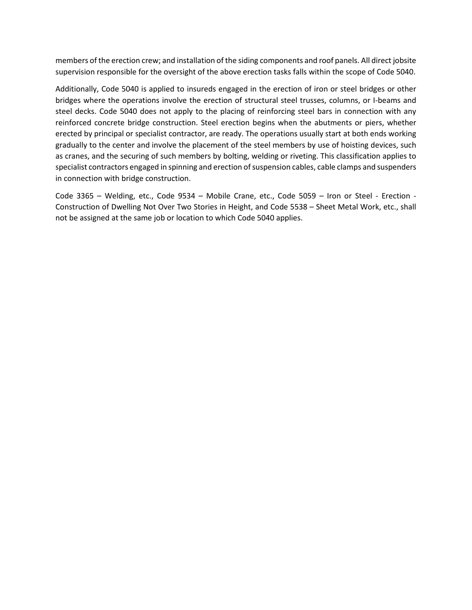members of the erection crew; and installation of the siding components and roof panels. All direct jobsite supervision responsible for the oversight of the above erection tasks falls within the scope of Code 5040.

Additionally, Code 5040 is applied to insureds engaged in the erection of iron or steel bridges or other bridges where the operations involve the erection of structural steel trusses, columns, or I-beams and steel decks. Code 5040 does not apply to the placing of reinforcing steel bars in connection with any reinforced concrete bridge construction. Steel erection begins when the abutments or piers, whether erected by principal or specialist contractor, are ready. The operations usually start at both ends working gradually to the center and involve the placement of the steel members by use of hoisting devices, such as cranes, and the securing of such members by bolting, welding or riveting. This classification applies to specialist contractors engaged in spinning and erection of suspension cables, cable clamps and suspenders in connection with bridge construction.

Code 3365 – Welding, etc., Code 9534 – Mobile Crane, etc., Code 5059 – Iron or Steel - Erection - Construction of Dwelling Not Over Two Stories in Height, and Code 5538 – Sheet Metal Work, etc., shall not be assigned at the same job or location to which Code 5040 applies.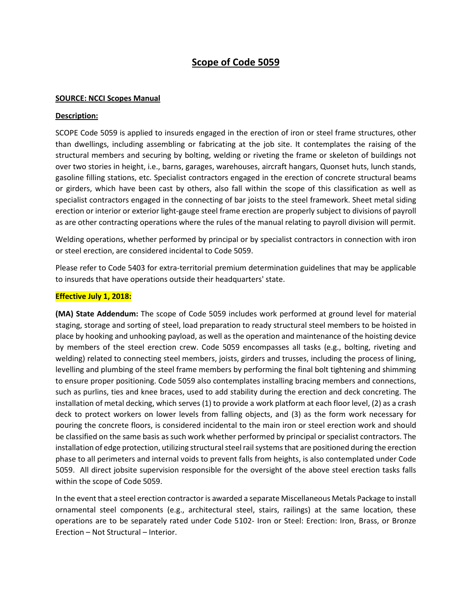## **Scope of Code 5059**

#### **SOURCE: NCCI Scopes Manual**

#### **Description:**

SCOPE Code 5059 is applied to insureds engaged in the erection of iron or steel frame structures, other than dwellings, including assembling or fabricating at the job site. It contemplates the raising of the structural members and securing by bolting, welding or riveting the frame or skeleton of buildings not over two stories in height, i.e., barns, garages, warehouses, aircraft hangars, Quonset huts, lunch stands, gasoline filling stations, etc. Specialist contractors engaged in the erection of concrete structural beams or girders, which have been cast by others, also fall within the scope of this classification as well as specialist contractors engaged in the connecting of bar joists to the steel framework. Sheet metal siding erection or interior or exterior light-gauge steel frame erection are properly subject to divisions of payroll as are other contracting operations where the rules of the manual relating to payroll division will permit.

Welding operations, whether performed by principal or by specialist contractors in connection with iron or steel erection, are considered incidental to Code 5059.

Please refer to Code 5403 for extra-territorial premium determination guidelines that may be applicable to insureds that have operations outside their headquarters' state.

## **Effective July 1, 2018:**

**(MA) State Addendum:** The scope of Code 5059 includes work performed at ground level for material staging, storage and sorting of steel, load preparation to ready structural steel members to be hoisted in place by hooking and unhooking payload, as well as the operation and maintenance of the hoisting device by members of the steel erection crew. Code 5059 encompasses all tasks (e.g., bolting, riveting and welding) related to connecting steel members, joists, girders and trusses, including the process of lining, levelling and plumbing of the steel frame members by performing the final bolt tightening and shimming to ensure proper positioning. Code 5059 also contemplates installing bracing members and connections, such as purlins, ties and knee braces, used to add stability during the erection and deck concreting. The installation of metal decking, which serves (1) to provide a work platform at each floor level, (2) as a crash deck to protect workers on lower levels from falling objects, and (3) as the form work necessary for pouring the concrete floors, is considered incidental to the main iron or steel erection work and should be classified on the same basis as such work whether performed by principal or specialist contractors. The installation of edge protection, utilizing structural steel rail systemsthat are positioned during the erection phase to all perimeters and internal voids to prevent falls from heights, is also contemplated under Code 5059. All direct jobsite supervision responsible for the oversight of the above steel erection tasks falls within the scope of Code 5059.

In the event that a steel erection contractor is awarded a separate Miscellaneous Metals Package to install ornamental steel components (e.g., architectural steel, stairs, railings) at the same location, these operations are to be separately rated under Code 5102- Iron or Steel: Erection: Iron, Brass, or Bronze Erection – Not Structural – Interior.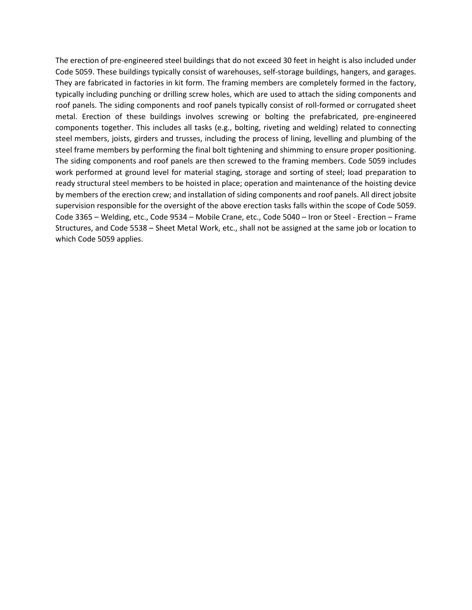The erection of pre-engineered steel buildings that do not exceed 30 feet in height is also included under Code 5059. These buildings typically consist of warehouses, self-storage buildings, hangers, and garages. They are fabricated in factories in kit form. The framing members are completely formed in the factory, typically including punching or drilling screw holes, which are used to attach the siding components and roof panels. The siding components and roof panels typically consist of roll-formed or corrugated sheet metal. Erection of these buildings involves screwing or bolting the prefabricated, pre-engineered components together. This includes all tasks (e.g., bolting, riveting and welding) related to connecting steel members, joists, girders and trusses, including the process of lining, levelling and plumbing of the steel frame members by performing the final bolt tightening and shimming to ensure proper positioning. The siding components and roof panels are then screwed to the framing members. Code 5059 includes work performed at ground level for material staging, storage and sorting of steel; load preparation to ready structural steel members to be hoisted in place; operation and maintenance of the hoisting device by members of the erection crew; and installation of siding components and roof panels. All direct jobsite supervision responsible for the oversight of the above erection tasks falls within the scope of Code 5059. Code 3365 – Welding, etc., Code 9534 – Mobile Crane, etc., Code 5040 – Iron or Steel - Erection – Frame Structures, and Code 5538 – Sheet Metal Work, etc., shall not be assigned at the same job or location to which Code 5059 applies.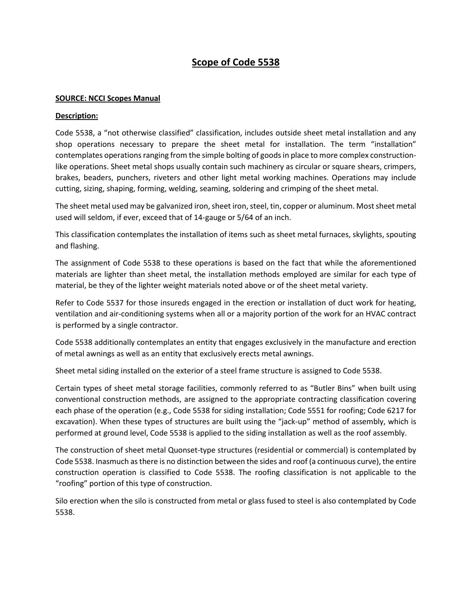# **Scope of Code 5538**

#### **SOURCE: NCCI Scopes Manual**

#### **Description:**

Code 5538, a "not otherwise classified" classification, includes outside sheet metal installation and any shop operations necessary to prepare the sheet metal for installation. The term "installation" contemplates operations ranging from the simple bolting of goods in place to more complex constructionlike operations. Sheet metal shops usually contain such machinery as circular or square shears, crimpers, brakes, beaders, punchers, riveters and other light metal working machines. Operations may include cutting, sizing, shaping, forming, welding, seaming, soldering and crimping of the sheet metal.

The sheet metal used may be galvanized iron, sheet iron, steel, tin, copper or aluminum. Most sheet metal used will seldom, if ever, exceed that of 14-gauge or 5/64 of an inch.

This classification contemplates the installation of items such as sheet metal furnaces, skylights, spouting and flashing.

The assignment of Code 5538 to these operations is based on the fact that while the aforementioned materials are lighter than sheet metal, the installation methods employed are similar for each type of material, be they of the lighter weight materials noted above or of the sheet metal variety.

Refer to Code 5537 for those insureds engaged in the erection or installation of duct work for heating, ventilation and air-conditioning systems when all or a majority portion of the work for an HVAC contract is performed by a single contractor.

Code 5538 additionally contemplates an entity that engages exclusively in the manufacture and erection of metal awnings as well as an entity that exclusively erects metal awnings.

Sheet metal siding installed on the exterior of a steel frame structure is assigned to Code 5538.

Certain types of sheet metal storage facilities, commonly referred to as "Butler Bins" when built using conventional construction methods, are assigned to the appropriate contracting classification covering each phase of the operation (e.g., Code 5538 for siding installation; Code 5551 for roofing; Code 6217 for excavation). When these types of structures are built using the "jack-up" method of assembly, which is performed at ground level, Code 5538 is applied to the siding installation as well as the roof assembly.

The construction of sheet metal Quonset-type structures (residential or commercial) is contemplated by Code 5538. Inasmuch as there is no distinction between the sides and roof (a continuous curve), the entire construction operation is classified to Code 5538. The roofing classification is not applicable to the "roofing" portion of this type of construction.

Silo erection when the silo is constructed from metal or glass fused to steel is also contemplated by Code 5538.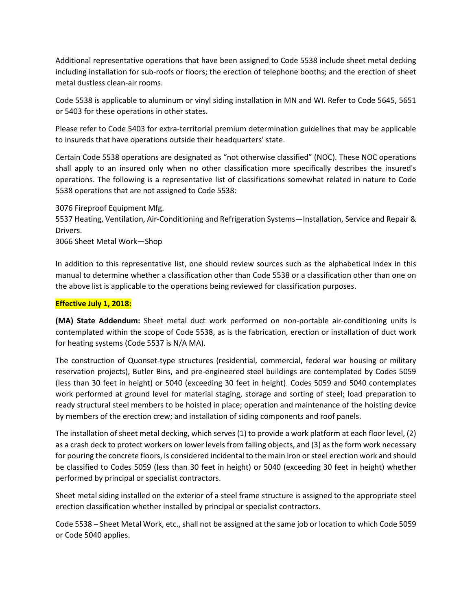Additional representative operations that have been assigned to Code 5538 include sheet metal decking including installation for sub-roofs or floors; the erection of telephone booths; and the erection of sheet metal dustless clean-air rooms.

Code 5538 is applicable to aluminum or vinyl siding installation in MN and WI. Refer to Code 5645, 5651 or 5403 for these operations in other states.

Please refer to Code 5403 for extra-territorial premium determination guidelines that may be applicable to insureds that have operations outside their headquarters' state.

Certain Code 5538 operations are designated as "not otherwise classified" (NOC). These NOC operations shall apply to an insured only when no other classification more specifically describes the insured's operations. The following is a representative list of classifications somewhat related in nature to Code 5538 operations that are not assigned to Code 5538:

3076 Fireproof Equipment Mfg. 5537 Heating, Ventilation, Air-Conditioning and Refrigeration Systems—Installation, Service and Repair & Drivers.

3066 Sheet Metal Work—Shop

In addition to this representative list, one should review sources such as the alphabetical index in this manual to determine whether a classification other than Code 5538 or a classification other than one on the above list is applicable to the operations being reviewed for classification purposes.

### **Effective July 1, 2018:**

**(MA) State Addendum:** Sheet metal duct work performed on non-portable air-conditioning units is contemplated within the scope of Code 5538, as is the fabrication, erection or installation of duct work for heating systems (Code 5537 is N/A MA).

The construction of Quonset-type structures (residential, commercial, federal war housing or military reservation projects), Butler Bins, and pre-engineered steel buildings are contemplated by Codes 5059 (less than 30 feet in height) or 5040 (exceeding 30 feet in height). Codes 5059 and 5040 contemplates work performed at ground level for material staging, storage and sorting of steel; load preparation to ready structural steel members to be hoisted in place; operation and maintenance of the hoisting device by members of the erection crew; and installation of siding components and roof panels.

The installation of sheet metal decking, which serves (1) to provide a work platform at each floor level, (2) as a crash deck to protect workers on lower levels from falling objects, and (3) as the form work necessary for pouring the concrete floors, is considered incidental to the main iron or steel erection work and should be classified to Codes 5059 (less than 30 feet in height) or 5040 (exceeding 30 feet in height) whether performed by principal or specialist contractors.

Sheet metal siding installed on the exterior of a steel frame structure is assigned to the appropriate steel erection classification whether installed by principal or specialist contractors.

Code 5538 – Sheet Metal Work, etc., shall not be assigned at the same job or location to which Code 5059 or Code 5040 applies.